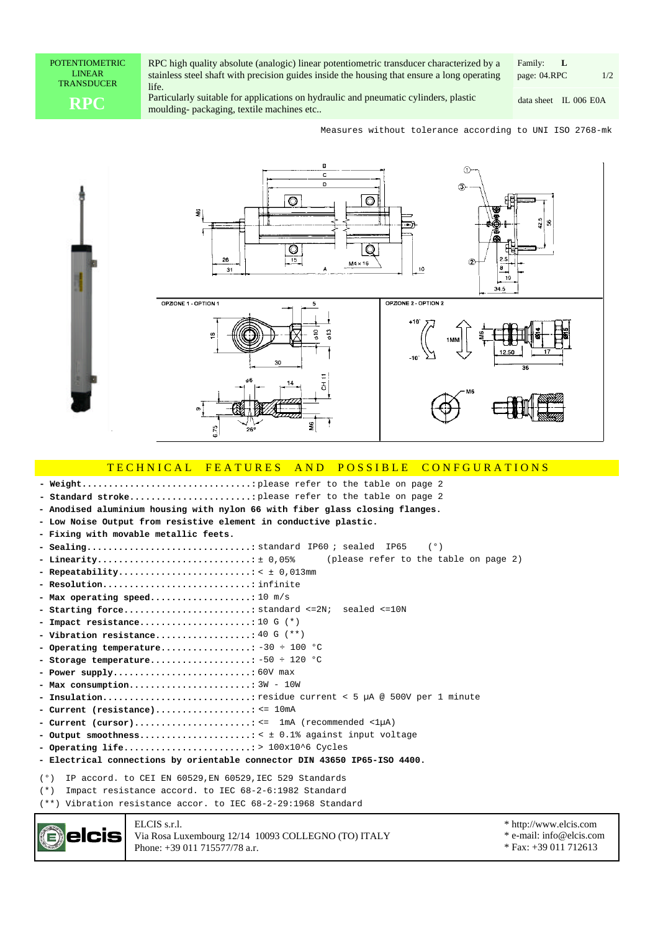POTENTIOMETRIC LINEAR TRANSDUCER

RPC high quality absolute (analogic) linear potentiometric transducer characterized by a stainless steel shaft with precision guides inside the housing that ensure a long operating life.

**RPC** Particularly suitable for applications on hydraulic and pneumatic cylinders, plastic data sheet IL 006 nonlinimation of the machines etc.. moulding- packaging, textile machines etc..

page: 04.RPC 1/2 Family: **L**

data sheet IL 006 E0A

Measures without tolerance according to UNI ISO 2768-mk



## TECHNICAL FEATURES AND POSSIBLE CONFGURATIONS

please refer to the table on page 2 **- Weight................................:**

please refer to the table on page 2 **- Standard stroke.......................: - Anodised aluminium housing with nylon 66 with fiber glass closing flanges. - Low Noise Output from resistive element in conductive plastic. - Fixing with movable metallic feets.** standard ; sealed (°) **- Sealing...............................:** IP60 IP65 (please refer to the table on page 2) **- Linearity.............................:** ± 0,05% < ± 0,013mm **- Repeatability.........................: - Resolution............................:** infinite **- Max operating speed...................:** 10 m/s **- Starting force........................:** standard <=2N; sealed <=10N **- Impact resistance.....................:** 10 G (\*) **- Vibration resistance..................:** 40 G (\*\*) **- Operating temperature.................:** -30 ÷ 100 °C **- Storage temperature...................:** -50 ÷ 120 °C **- Power supply..........................:** 60V max **- Max consumption.......................:** 3W - 10W **- Insulation............................:** residue current < 5 µA @ 500V per 1 minute **- Current (resistance)..................:** <= 10mA **- Current (cursor)......................:** <= 1mA (recommended <1µA) **- Output smoothness.....................:** < ± 0.1% against input voltage **- Operating life........................:** > 100x10^6 Cycles **- Electrical connections by orientable connector DIN 43650 IP65-ISO 4400.**(°) IP accord. to CEI EN 60529,EN 60529,IEC 529 Standards (\*) Impact resistance accord. to IEC 68-2-6:1982 Standard (\*\*) Vibration resistance accor. to IEC 68-2-29:1968 Standard ELCIS s.r.l. \* http://www.elcis.com elcis Via Rosa Luxembourg 12/14 10093 COLLEGNO (TO) ITALY

Phone: +39 011 715577/78 a.r.

\* e-mail: info@elcis.com \* Fax: +39 011 712613